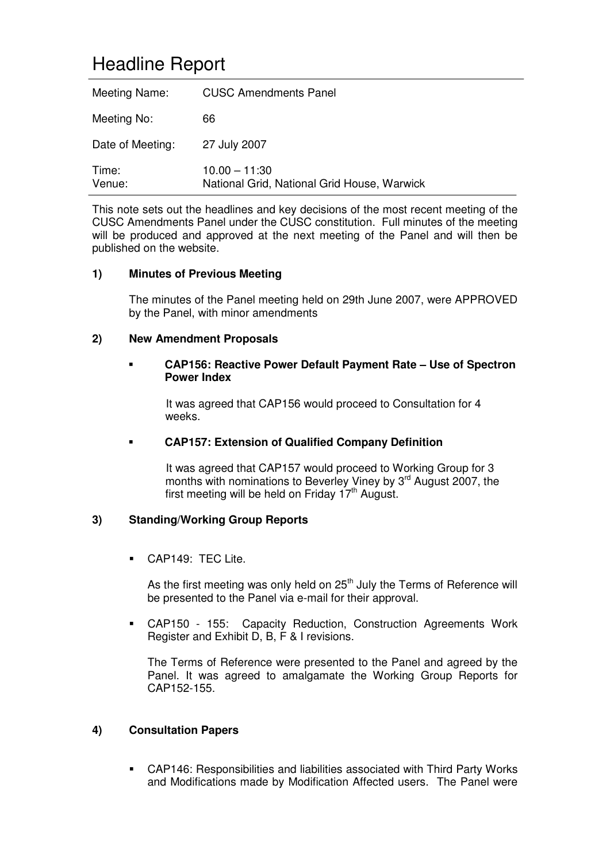# Headline Report

| Meeting Name:    | <b>CUSC Amendments Panel</b>                                   |
|------------------|----------------------------------------------------------------|
| Meeting No:      | 66                                                             |
| Date of Meeting: | 27 July 2007                                                   |
| Time:<br>Venue:  | $10.00 - 11:30$<br>National Grid, National Grid House, Warwick |

This note sets out the headlines and key decisions of the most recent meeting of the CUSC Amendments Panel under the CUSC constitution. Full minutes of the meeting will be produced and approved at the next meeting of the Panel and will then be published on the website.

#### **1) Minutes of Previous Meeting**

The minutes of the Panel meeting held on 29th June 2007, were APPROVED by the Panel, with minor amendments

#### **2) New Amendment Proposals**

#### **CAP156: Reactive Power Default Payment Rate – Use of Spectron Power Index**

It was agreed that CAP156 would proceed to Consultation for 4 weeks.

#### **CAP157: Extension of Qualified Company Definition**

It was agreed that CAP157 would proceed to Working Group for 3 months with nominations to Beverley Viney by 3<sup>rd</sup> August 2007, the first meeting will be held on Friday 17<sup>th</sup> August.

### **3) Standing/Working Group Reports**

CAP149: TEC Lite.

As the first meeting was only held on 25<sup>th</sup> July the Terms of Reference will be presented to the Panel via e-mail for their approval.

 CAP150 - 155: Capacity Reduction, Construction Agreements Work Register and Exhibit D, B, F & I revisions.

The Terms of Reference were presented to the Panel and agreed by the Panel. It was agreed to amalgamate the Working Group Reports for CAP152-155.

#### **4) Consultation Papers**

 CAP146: Responsibilities and liabilities associated with Third Party Works and Modifications made by Modification Affected users. The Panel were